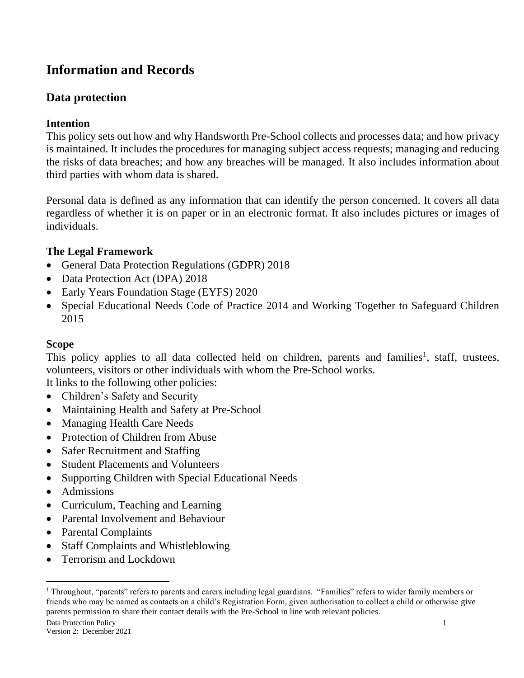# **Information and Records**

# **Data protection**

## **Intention**

This policy sets out how and why Handsworth Pre-School collects and processes data; and how privacy is maintained. It includes the procedures for managing subject access requests; managing and reducing the risks of data breaches; and how any breaches will be managed. It also includes information about third parties with whom data is shared.

Personal data is defined as any information that can identify the person concerned. It covers all data regardless of whether it is on paper or in an electronic format. It also includes pictures or images of individuals.

# **The Legal Framework**

- General Data Protection Regulations (GDPR) 2018
- Data Protection Act (DPA) 2018
- Early Years Foundation Stage (EYFS) 2020
- Special Educational Needs Code of Practice 2014 and Working Together to Safeguard Children 2015

## **Scope**

This policy applies to all data collected held on children, parents and families<sup>1</sup>, staff, trustees, volunteers, visitors or other individuals with whom the Pre-School works.

It links to the following other policies:

- Children's Safety and Security
- Maintaining Health and Safety at Pre-School
- Managing Health Care Needs
- Protection of Children from Abuse
- Safer Recruitment and Staffing
- Student Placements and Volunteers
- Supporting Children with Special Educational Needs
- Admissions
- Curriculum, Teaching and Learning
- Parental Involvement and Behaviour
- Parental Complaints
- Staff Complaints and Whistleblowing
- Terrorism and Lockdown

<sup>1</sup> Throughout, "parents" refers to parents and carers including legal guardians. "Families" refers to wider family members or friends who may be named as contacts on a child's Registration Form, given authorisation to collect a child or otherwise give parents permission to share their contact details with the Pre-School in line with relevant policies.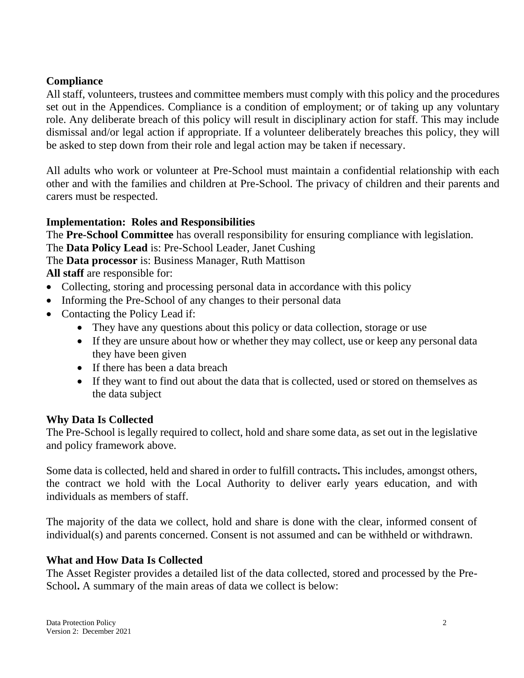### **Compliance**

All staff, volunteers, trustees and committee members must comply with this policy and the procedures set out in the Appendices. Compliance is a condition of employment; or of taking up any voluntary role. Any deliberate breach of this policy will result in disciplinary action for staff. This may include dismissal and/or legal action if appropriate. If a volunteer deliberately breaches this policy, they will be asked to step down from their role and legal action may be taken if necessary.

All adults who work or volunteer at Pre-School must maintain a confidential relationship with each other and with the families and children at Pre-School. The privacy of children and their parents and carers must be respected.

### **Implementation: Roles and Responsibilities**

The **Pre-School Committee** has overall responsibility for ensuring compliance with legislation.

The **Data Policy Lead** is: Pre-School Leader, Janet Cushing

The **Data processor** is: Business Manager, Ruth Mattison

**All staff** are responsible for:

- Collecting, storing and processing personal data in accordance with this policy
- Informing the Pre-School of any changes to their personal data
- Contacting the Policy Lead if:
	- They have any questions about this policy or data collection, storage or use
	- If they are unsure about how or whether they may collect, use or keep any personal data they have been given
	- If there has been a data breach
	- If they want to find out about the data that is collected, used or stored on themselves as the data subject

#### **Why Data Is Collected**

The Pre-School is legally required to collect, hold and share some data, as set out in the legislative and policy framework above.

Some data is collected, held and shared in order to fulfill contracts**.** This includes, amongst others, the contract we hold with the Local Authority to deliver early years education, and with individuals as members of staff.

The majority of the data we collect, hold and share is done with the clear, informed consent of individual(s) and parents concerned. Consent is not assumed and can be withheld or withdrawn.

#### **What and How Data Is Collected**

The Asset Register provides a detailed list of the data collected, stored and processed by the Pre-School**.** A summary of the main areas of data we collect is below: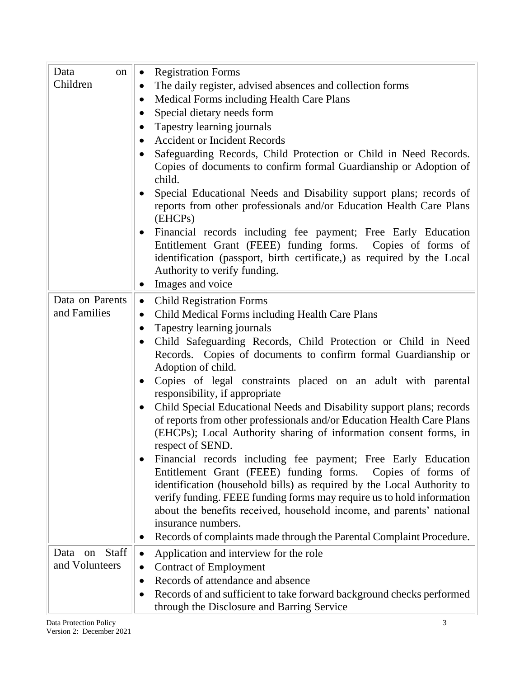| Data<br>on                                | <b>Registration Forms</b><br>$\bullet$                                                                                                                                                                                                                                                                                                                                                                                                                            |  |  |
|-------------------------------------------|-------------------------------------------------------------------------------------------------------------------------------------------------------------------------------------------------------------------------------------------------------------------------------------------------------------------------------------------------------------------------------------------------------------------------------------------------------------------|--|--|
| Children                                  | The daily register, advised absences and collection forms<br>$\bullet$                                                                                                                                                                                                                                                                                                                                                                                            |  |  |
|                                           | Medical Forms including Health Care Plans<br>$\bullet$                                                                                                                                                                                                                                                                                                                                                                                                            |  |  |
|                                           | Special dietary needs form<br>$\bullet$                                                                                                                                                                                                                                                                                                                                                                                                                           |  |  |
|                                           | Tapestry learning journals<br>$\bullet$                                                                                                                                                                                                                                                                                                                                                                                                                           |  |  |
|                                           | <b>Accident or Incident Records</b><br>$\bullet$                                                                                                                                                                                                                                                                                                                                                                                                                  |  |  |
|                                           | Safeguarding Records, Child Protection or Child in Need Records.<br>$\bullet$                                                                                                                                                                                                                                                                                                                                                                                     |  |  |
|                                           | Copies of documents to confirm formal Guardianship or Adoption of<br>child.                                                                                                                                                                                                                                                                                                                                                                                       |  |  |
|                                           | Special Educational Needs and Disability support plans; records of<br>reports from other professionals and/or Education Health Care Plans<br>(EHCPs)                                                                                                                                                                                                                                                                                                              |  |  |
|                                           | Financial records including fee payment; Free Early Education<br>$\bullet$<br>Entitlement Grant (FEEE) funding forms. Copies of forms of<br>identification (passport, birth certificate,) as required by the Local<br>Authority to verify funding.<br>Images and voice<br>$\bullet$                                                                                                                                                                               |  |  |
| Data on Parents                           |                                                                                                                                                                                                                                                                                                                                                                                                                                                                   |  |  |
| and Families                              | <b>Child Registration Forms</b><br>$\bullet$                                                                                                                                                                                                                                                                                                                                                                                                                      |  |  |
|                                           | Child Medical Forms including Health Care Plans<br>$\bullet$                                                                                                                                                                                                                                                                                                                                                                                                      |  |  |
|                                           | Tapestry learning journals<br>$\bullet$<br>Child Safeguarding Records, Child Protection or Child in Need<br>$\bullet$<br>Records. Copies of documents to confirm formal Guardianship or<br>Adoption of child.<br>Copies of legal constraints placed on an adult with parental<br>$\bullet$<br>responsibility, if appropriate                                                                                                                                      |  |  |
|                                           | Child Special Educational Needs and Disability support plans; records<br>$\bullet$<br>of reports from other professionals and/or Education Health Care Plans<br>(EHCPs); Local Authority sharing of information consent forms, in<br>respect of SEND                                                                                                                                                                                                              |  |  |
|                                           | Financial records including fee payment; Free Early Education<br>Entitlement Grant (FEEE) funding forms. Copies of forms of<br>identification (household bills) as required by the Local Authority to<br>verify funding. FEEE funding forms may require us to hold information<br>about the benefits received, household income, and parents' national<br>insurance numbers.<br>Records of complaints made through the Parental Complaint Procedure.<br>$\bullet$ |  |  |
|                                           |                                                                                                                                                                                                                                                                                                                                                                                                                                                                   |  |  |
| <b>Staff</b><br>Data on<br>and Volunteers | Application and interview for the role<br>$\bullet$<br><b>Contract of Employment</b><br>$\bullet$                                                                                                                                                                                                                                                                                                                                                                 |  |  |
|                                           | Records of attendance and absence<br>$\bullet$                                                                                                                                                                                                                                                                                                                                                                                                                    |  |  |
|                                           | Records of and sufficient to take forward background checks performed<br>$\bullet$<br>through the Disclosure and Barring Service                                                                                                                                                                                                                                                                                                                                  |  |  |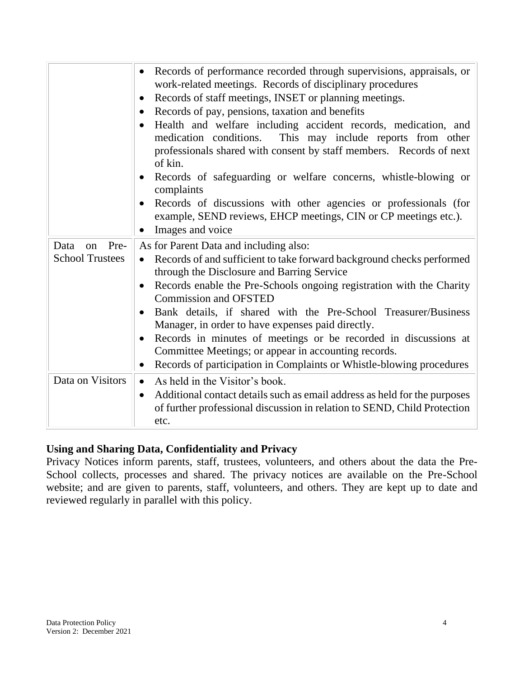|                                              | Records of performance recorded through supervisions, appraisals, or<br>$\bullet$<br>work-related meetings. Records of disciplinary procedures<br>Records of staff meetings, INSET or planning meetings.<br>$\bullet$<br>Records of pay, pensions, taxation and benefits<br>$\bullet$<br>Health and welfare including accident records, medication, and<br>medication conditions. This may include reports from other<br>professionals shared with consent by staff members. Records of next<br>of kin.<br>Records of safeguarding or welfare concerns, whistle-blowing or<br>$\bullet$<br>complaints<br>Records of discussions with other agencies or professionals (for<br>$\bullet$<br>example, SEND reviews, EHCP meetings, CIN or CP meetings etc.).<br>Images and voice |
|----------------------------------------------|-------------------------------------------------------------------------------------------------------------------------------------------------------------------------------------------------------------------------------------------------------------------------------------------------------------------------------------------------------------------------------------------------------------------------------------------------------------------------------------------------------------------------------------------------------------------------------------------------------------------------------------------------------------------------------------------------------------------------------------------------------------------------------|
| Pre-<br>Data<br>on<br><b>School Trustees</b> | As for Parent Data and including also:<br>Records of and sufficient to take forward background checks performed<br>$\bullet$<br>through the Disclosure and Barring Service<br>Records enable the Pre-Schools ongoing registration with the Charity<br>$\bullet$<br><b>Commission and OFSTED</b><br>Bank details, if shared with the Pre-School Treasurer/Business<br>$\bullet$<br>Manager, in order to have expenses paid directly.<br>Records in minutes of meetings or be recorded in discussions at<br>$\bullet$<br>Committee Meetings; or appear in accounting records.<br>Records of participation in Complaints or Whistle-blowing procedures<br>$\bullet$                                                                                                              |
| Data on Visitors                             | As held in the Visitor's book.<br>$\bullet$<br>Additional contact details such as email address as held for the purposes<br>$\bullet$<br>of further professional discussion in relation to SEND, Child Protection<br>etc.                                                                                                                                                                                                                                                                                                                                                                                                                                                                                                                                                     |

### **Using and Sharing Data, Confidentiality and Privacy**

Privacy Notices inform parents, staff, trustees, volunteers, and others about the data the Pre-School collects, processes and shared. The privacy notices are available on the Pre-School website; and are given to parents, staff, volunteers, and others. They are kept up to date and reviewed regularly in parallel with this policy.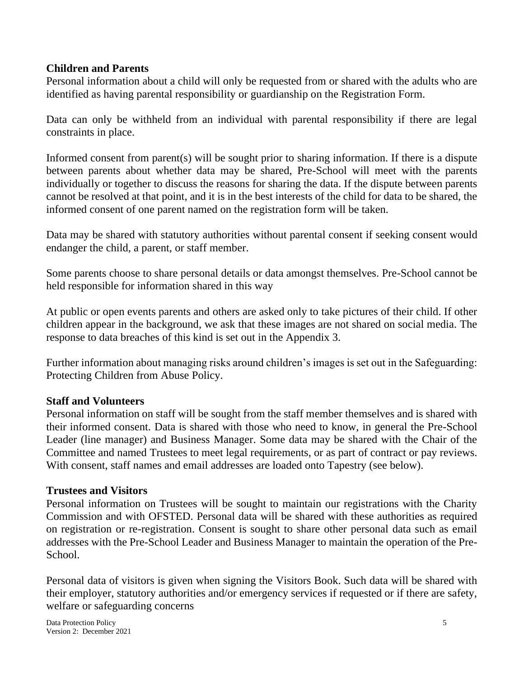#### **Children and Parents**

Personal information about a child will only be requested from or shared with the adults who are identified as having parental responsibility or guardianship on the Registration Form.

Data can only be withheld from an individual with parental responsibility if there are legal constraints in place.

Informed consent from parent(s) will be sought prior to sharing information. If there is a dispute between parents about whether data may be shared, Pre-School will meet with the parents individually or together to discuss the reasons for sharing the data. If the dispute between parents cannot be resolved at that point, and it is in the best interests of the child for data to be shared, the informed consent of one parent named on the registration form will be taken.

Data may be shared with statutory authorities without parental consent if seeking consent would endanger the child, a parent, or staff member.

Some parents choose to share personal details or data amongst themselves. Pre-School cannot be held responsible for information shared in this way

At public or open events parents and others are asked only to take pictures of their child. If other children appear in the background, we ask that these images are not shared on social media. The response to data breaches of this kind is set out in the Appendix 3.

Further information about managing risks around children's images is set out in the Safeguarding: Protecting Children from Abuse Policy.

#### **Staff and Volunteers**

Personal information on staff will be sought from the staff member themselves and is shared with their informed consent. Data is shared with those who need to know, in general the Pre-School Leader (line manager) and Business Manager. Some data may be shared with the Chair of the Committee and named Trustees to meet legal requirements, or as part of contract or pay reviews. With consent, staff names and email addresses are loaded onto Tapestry (see below).

#### **Trustees and Visitors**

Personal information on Trustees will be sought to maintain our registrations with the Charity Commission and with OFSTED. Personal data will be shared with these authorities as required on registration or re-registration. Consent is sought to share other personal data such as email addresses with the Pre-School Leader and Business Manager to maintain the operation of the Pre-School.

Personal data of visitors is given when signing the Visitors Book. Such data will be shared with their employer, statutory authorities and/or emergency services if requested or if there are safety, welfare or safeguarding concerns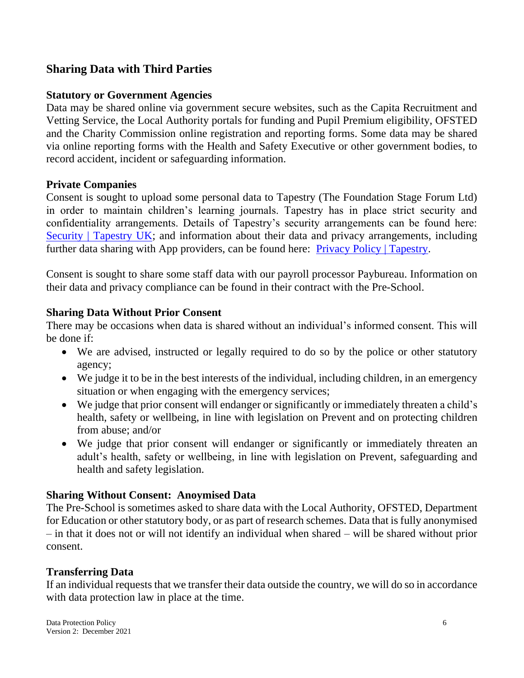### **Sharing Data with Third Parties**

#### **Statutory or Government Agencies**

Data may be shared online via government secure websites, such as the Capita Recruitment and Vetting Service, the Local Authority portals for funding and Pupil Premium eligibility, OFSTED and the Charity Commission online registration and reporting forms. Some data may be shared via online reporting forms with the Health and Safety Executive or other government bodies, to record accident, incident or safeguarding information.

#### **Private Companies**

Consent is sought to upload some personal data to Tapestry (The Foundation Stage Forum Ltd) in order to maintain children's learning journals. Tapestry has in place strict security and confidentiality arrangements. Details of Tapestry's security arrangements can be found here: [Security | Tapestry UK;](https://tapestry.info/security.html) and information about their data and privacy arrangements, including further data sharing with App providers, can be found here: **Privacy Policy** | Tapestry.

Consent is sought to share some staff data with our payroll processor Paybureau. Information on their data and privacy compliance can be found in their contract with the Pre-School.

#### **Sharing Data Without Prior Consent**

There may be occasions when data is shared without an individual's informed consent. This will be done if:

- We are advised, instructed or legally required to do so by the police or other statutory agency;
- We judge it to be in the best interests of the individual, including children, in an emergency situation or when engaging with the emergency services;
- We judge that prior consent will endanger or significantly or immediately threaten a child's health, safety or wellbeing, in line with legislation on Prevent and on protecting children from abuse; and/or
- We judge that prior consent will endanger or significantly or immediately threaten an adult's health, safety or wellbeing, in line with legislation on Prevent, safeguarding and health and safety legislation.

#### **Sharing Without Consent: Anoymised Data**

The Pre-School is sometimes asked to share data with the Local Authority, OFSTED, Department for Education or other statutory body, or as part of research schemes. Data that is fully anonymised – in that it does not or will not identify an individual when shared – will be shared without prior consent.

#### **Transferring Data**

If an individual requests that we transfer their data outside the country, we will do so in accordance with data protection law in place at the time.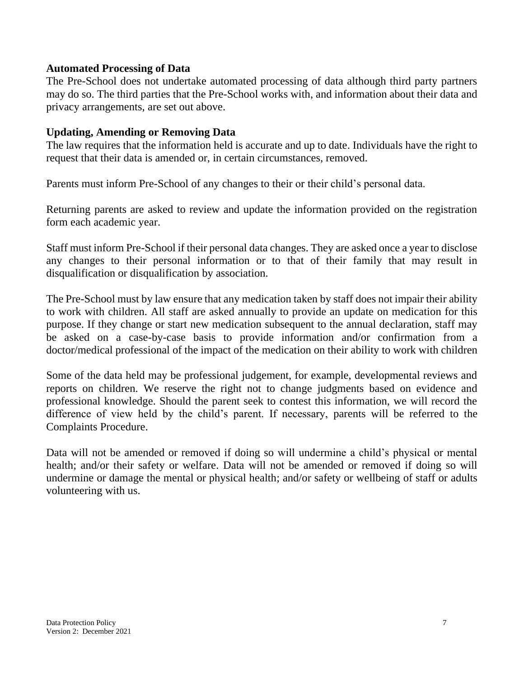#### **Automated Processing of Data**

The Pre-School does not undertake automated processing of data although third party partners may do so. The third parties that the Pre-School works with, and information about their data and privacy arrangements, are set out above.

#### **Updating, Amending or Removing Data**

The law requires that the information held is accurate and up to date. Individuals have the right to request that their data is amended or, in certain circumstances, removed.

Parents must inform Pre-School of any changes to their or their child's personal data.

Returning parents are asked to review and update the information provided on the registration form each academic year.

Staff must inform Pre-School if their personal data changes. They are asked once a year to disclose any changes to their personal information or to that of their family that may result in disqualification or disqualification by association.

The Pre-School must by law ensure that any medication taken by staff does not impair their ability to work with children. All staff are asked annually to provide an update on medication for this purpose. If they change or start new medication subsequent to the annual declaration, staff may be asked on a case-by-case basis to provide information and/or confirmation from a doctor/medical professional of the impact of the medication on their ability to work with children

Some of the data held may be professional judgement, for example, developmental reviews and reports on children. We reserve the right not to change judgments based on evidence and professional knowledge. Should the parent seek to contest this information, we will record the difference of view held by the child's parent. If necessary, parents will be referred to the Complaints Procedure.

Data will not be amended or removed if doing so will undermine a child's physical or mental health; and/or their safety or welfare. Data will not be amended or removed if doing so will undermine or damage the mental or physical health; and/or safety or wellbeing of staff or adults volunteering with us.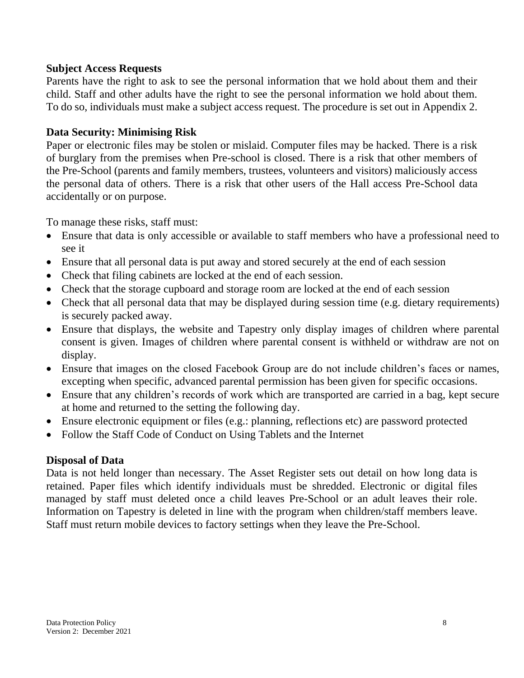#### **Subject Access Requests**

Parents have the right to ask to see the personal information that we hold about them and their child. Staff and other adults have the right to see the personal information we hold about them. To do so, individuals must make a subject access request. The procedure is set out in Appendix 2.

#### **Data Security: Minimising Risk**

Paper or electronic files may be stolen or mislaid. Computer files may be hacked. There is a risk of burglary from the premises when Pre-school is closed. There is a risk that other members of the Pre-School (parents and family members, trustees, volunteers and visitors) maliciously access the personal data of others. There is a risk that other users of the Hall access Pre-School data accidentally or on purpose.

To manage these risks, staff must:

- Ensure that data is only accessible or available to staff members who have a professional need to see it
- Ensure that all personal data is put away and stored securely at the end of each session
- Check that filing cabinets are locked at the end of each session.
- Check that the storage cupboard and storage room are locked at the end of each session
- Check that all personal data that may be displayed during session time (e.g. dietary requirements) is securely packed away.
- Ensure that displays, the website and Tapestry only display images of children where parental consent is given. Images of children where parental consent is withheld or withdraw are not on display.
- Ensure that images on the closed Facebook Group are do not include children's faces or names, excepting when specific, advanced parental permission has been given for specific occasions.
- Ensure that any children's records of work which are transported are carried in a bag, kept secure at home and returned to the setting the following day.
- Ensure electronic equipment or files (e.g.: planning, reflections etc) are password protected
- Follow the Staff Code of Conduct on Using Tablets and the Internet

#### **Disposal of Data**

Data is not held longer than necessary. The Asset Register sets out detail on how long data is retained. Paper files which identify individuals must be shredded. Electronic or digital files managed by staff must deleted once a child leaves Pre-School or an adult leaves their role. Information on Tapestry is deleted in line with the program when children/staff members leave. Staff must return mobile devices to factory settings when they leave the Pre-School.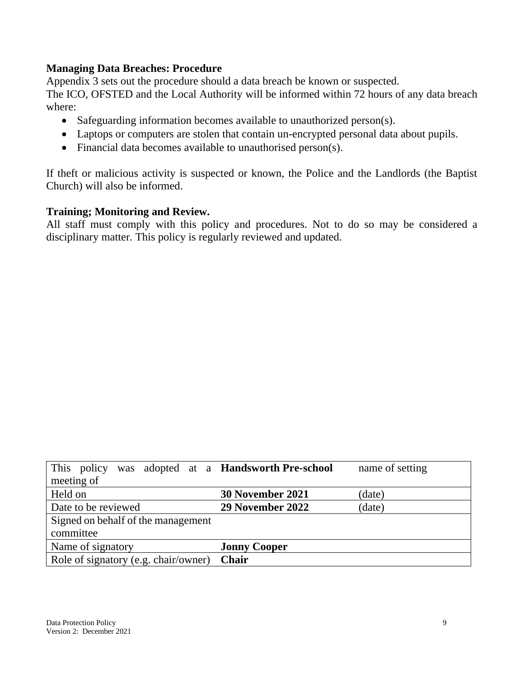#### **Managing Data Breaches: Procedure**

Appendix 3 sets out the procedure should a data breach be known or suspected.

The ICO, OFSTED and the Local Authority will be informed within 72 hours of any data breach where:

- Safeguarding information becomes available to unauthorized person(s).
- Laptops or computers are stolen that contain un-encrypted personal data about pupils.
- Financial data becomes available to unauthorised person(s).

If theft or malicious activity is suspected or known, the Police and the Landlords (the Baptist Church) will also be informed.

#### **Training; Monitoring and Review.**

All staff must comply with this policy and procedures. Not to do so may be considered a disciplinary matter. This policy is regularly reviewed and updated.

| This policy                          | was adopted at a <b>Handsworth Pre-school</b> | name of setting |  |  |
|--------------------------------------|-----------------------------------------------|-----------------|--|--|
| meeting of                           |                                               |                 |  |  |
| Held on                              | 30 November 2021                              | (date)          |  |  |
| Date to be reviewed                  | 29 November 2022                              | (date)          |  |  |
| Signed on behalf of the management   |                                               |                 |  |  |
| committee                            |                                               |                 |  |  |
| Name of signatory                    | <b>Jonny Cooper</b>                           |                 |  |  |
| Role of signatory (e.g. chair/owner) | <b>Chair</b>                                  |                 |  |  |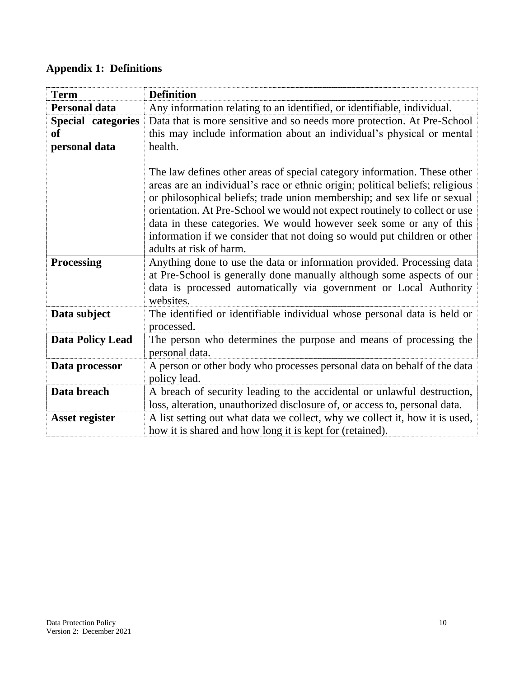# **Appendix 1: Definitions**

| <b>Term</b>                                      | <b>Definition</b>                                                                                                                                                                                                                                                                                                                                                                                                                                                                                 |
|--------------------------------------------------|---------------------------------------------------------------------------------------------------------------------------------------------------------------------------------------------------------------------------------------------------------------------------------------------------------------------------------------------------------------------------------------------------------------------------------------------------------------------------------------------------|
| <b>Personal data</b>                             | Any information relating to an identified, or identifiable, individual.                                                                                                                                                                                                                                                                                                                                                                                                                           |
| <b>Special categories</b><br>of<br>personal data | Data that is more sensitive and so needs more protection. At Pre-School<br>this may include information about an individual's physical or mental<br>health.                                                                                                                                                                                                                                                                                                                                       |
|                                                  | The law defines other areas of special category information. These other<br>areas are an individual's race or ethnic origin; political beliefs; religious<br>or philosophical beliefs; trade union membership; and sex life or sexual<br>orientation. At Pre-School we would not expect routinely to collect or use<br>data in these categories. We would however seek some or any of this<br>information if we consider that not doing so would put children or other<br>adults at risk of harm. |
| <b>Processing</b>                                | Anything done to use the data or information provided. Processing data<br>at Pre-School is generally done manually although some aspects of our<br>data is processed automatically via government or Local Authority<br>websites.                                                                                                                                                                                                                                                                 |
| Data subject                                     | The identified or identifiable individual whose personal data is held or<br>processed.                                                                                                                                                                                                                                                                                                                                                                                                            |
| <b>Data Policy Lead</b>                          | The person who determines the purpose and means of processing the<br>personal data.                                                                                                                                                                                                                                                                                                                                                                                                               |
| Data processor                                   | A person or other body who processes personal data on behalf of the data<br>policy lead.                                                                                                                                                                                                                                                                                                                                                                                                          |
| Data breach                                      | A breach of security leading to the accidental or unlawful destruction,<br>loss, alteration, unauthorized disclosure of, or access to, personal data.                                                                                                                                                                                                                                                                                                                                             |
| <b>Asset register</b>                            | A list setting out what data we collect, why we collect it, how it is used,<br>how it is shared and how long it is kept for (retained).                                                                                                                                                                                                                                                                                                                                                           |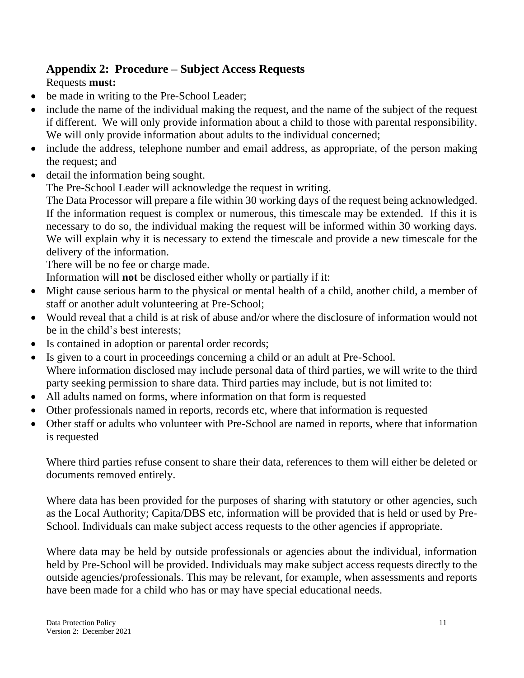# **Appendix 2: Procedure – Subject Access Requests**

# Requests **must:**

- be made in writing to the Pre-School Leader;
- include the name of the individual making the request, and the name of the subject of the request if different. We will only provide information about a child to those with parental responsibility. We will only provide information about adults to the individual concerned;
- include the address, telephone number and email address, as appropriate, of the person making the request; and
- detail the information being sought.

The Pre-School Leader will acknowledge the request in writing.

The Data Processor will prepare a file within 30 working days of the request being acknowledged. If the information request is complex or numerous, this timescale may be extended. If this it is necessary to do so, the individual making the request will be informed within 30 working days. We will explain why it is necessary to extend the timescale and provide a new timescale for the delivery of the information.

There will be no fee or charge made.

Information will **not** be disclosed either wholly or partially if it:

- Might cause serious harm to the physical or mental health of a child, another child, a member of staff or another adult volunteering at Pre-School;
- Would reveal that a child is at risk of abuse and/or where the disclosure of information would not be in the child's best interests;
- Is contained in adoption or parental order records;
- Is given to a court in proceedings concerning a child or an adult at Pre-School. Where information disclosed may include personal data of third parties, we will write to the third party seeking permission to share data. Third parties may include, but is not limited to:
- All adults named on forms, where information on that form is requested
- Other professionals named in reports, records etc, where that information is requested
- Other staff or adults who volunteer with Pre-School are named in reports, where that information is requested

Where third parties refuse consent to share their data, references to them will either be deleted or documents removed entirely.

Where data has been provided for the purposes of sharing with statutory or other agencies, such as the Local Authority; Capita/DBS etc, information will be provided that is held or used by Pre-School. Individuals can make subject access requests to the other agencies if appropriate.

Where data may be held by outside professionals or agencies about the individual, information held by Pre-School will be provided. Individuals may make subject access requests directly to the outside agencies/professionals. This may be relevant, for example, when assessments and reports have been made for a child who has or may have special educational needs.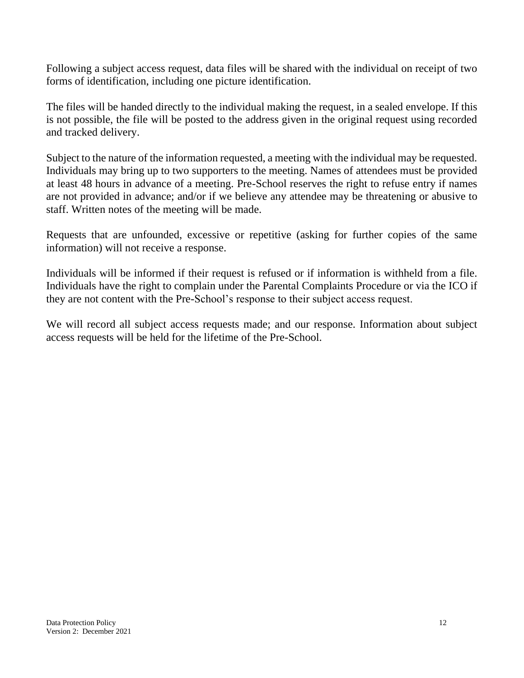Following a subject access request, data files will be shared with the individual on receipt of two forms of identification, including one picture identification.

The files will be handed directly to the individual making the request, in a sealed envelope. If this is not possible, the file will be posted to the address given in the original request using recorded and tracked delivery.

Subject to the nature of the information requested, a meeting with the individual may be requested. Individuals may bring up to two supporters to the meeting. Names of attendees must be provided at least 48 hours in advance of a meeting. Pre-School reserves the right to refuse entry if names are not provided in advance; and/or if we believe any attendee may be threatening or abusive to staff. Written notes of the meeting will be made.

Requests that are unfounded, excessive or repetitive (asking for further copies of the same information) will not receive a response.

Individuals will be informed if their request is refused or if information is withheld from a file. Individuals have the right to complain under the Parental Complaints Procedure or via the ICO if they are not content with the Pre-School's response to their subject access request.

We will record all subject access requests made; and our response. Information about subject access requests will be held for the lifetime of the Pre-School.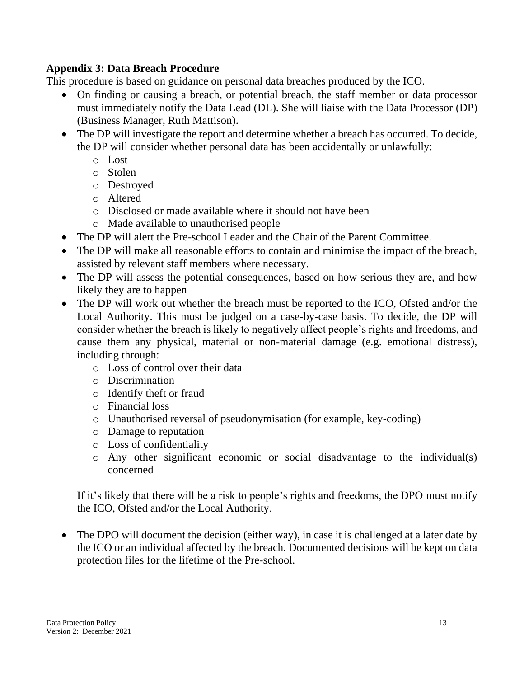### **Appendix 3: Data Breach Procedure**

This procedure is based on [guidance on personal data breaches](https://ico.org.uk/for-organisations/guide-to-the-general-data-protection-regulation-gdpr/personal-data-breaches/) produced by the ICO.

- On finding or causing a breach, or potential breach, the staff member or data processor must immediately notify the Data Lead (DL). She will liaise with the Data Processor (DP) (Business Manager, Ruth Mattison).
- The DP will investigate the report and determine whether a breach has occurred. To decide, the DP will consider whether personal data has been accidentally or unlawfully:
	- o Lost
	- o Stolen
	- o Destroyed
	- o Altered
	- o Disclosed or made available where it should not have been
	- o Made available to unauthorised people
- The DP will alert the Pre-school Leader and the Chair of the Parent Committee.
- The DP will make all reasonable efforts to contain and minimise the impact of the breach, assisted by relevant staff members where necessary.
- The DP will assess the potential consequences, based on how serious they are, and how likely they are to happen
- The DP will work out whether the breach must be reported to the ICO, Ofsted and/or the Local Authority. This must be judged on a case-by-case basis. To decide, the DP will consider whether the breach is likely to negatively affect people's rights and freedoms, and cause them any physical, material or non-material damage (e.g. emotional distress), including through:
	- o Loss of control over their data
	- o Discrimination
	- o Identify theft or fraud
	- o Financial loss
	- o Unauthorised reversal of pseudonymisation (for example, key-coding)
	- o Damage to reputation
	- o Loss of confidentiality
	- o Any other significant economic or social disadvantage to the individual(s) concerned

If it's likely that there will be a risk to people's rights and freedoms, the DPO must notify the ICO, Ofsted and/or the Local Authority.

• The DPO will document the decision (either way), in case it is challenged at a later date by the ICO or an individual affected by the breach. Documented decisions will be kept on data protection files for the lifetime of the Pre-school.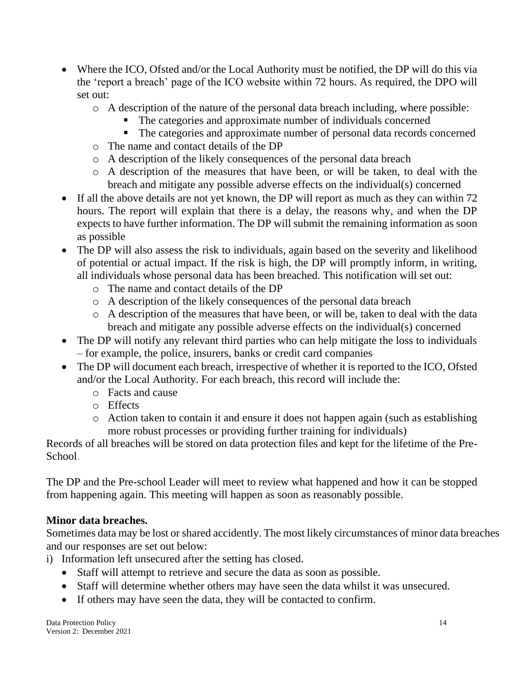- Where the ICO, Ofsted and/or the Local Authority must be notified, the DP will do this via the ['report a breach' page of the ICO website](https://ico.org.uk/for-organisations/report-a-breach/) within 72 hours. As required, the DPO will set out:
	- o A description of the nature of the personal data breach including, where possible:
		- The categories and approximate number of individuals concerned
		- The categories and approximate number of personal data records concerned
	- o The name and contact details of the DP
	- o A description of the likely consequences of the personal data breach
	- o A description of the measures that have been, or will be taken, to deal with the breach and mitigate any possible adverse effects on the individual(s) concerned
- If all the above details are not yet known, the DP will report as much as they can within 72 hours. The report will explain that there is a delay, the reasons why, and when the DP expects to have further information. The DP will submit the remaining information as soon as possible
- The DP will also assess the risk to individuals, again based on the severity and likelihood of potential or actual impact. If the risk is high, the DP will promptly inform, in writing, all individuals whose personal data has been breached. This notification will set out:
	- o The name and contact details of the DP
	- o A description of the likely consequences of the personal data breach
	- o A description of the measures that have been, or will be, taken to deal with the data breach and mitigate any possible adverse effects on the individual(s) concerned
- The DP will notify any relevant third parties who can help mitigate the loss to individuals – for example, the police, insurers, banks or credit card companies
- The DP will document each breach, irrespective of whether it is reported to the ICO, Ofsted and/or the Local Authority. For each breach, this record will include the:
	- o Facts and cause
	- o Effects
	- o Action taken to contain it and ensure it does not happen again (such as establishing more robust processes or providing further training for individuals)

Records of all breaches will be stored on data protection files and kept for the lifetime of the Pre-School.

The DP and the Pre-school Leader will meet to review what happened and how it can be stopped from happening again. This meeting will happen as soon as reasonably possible.

## **Minor data breaches.**

Sometimes data may be lost or shared accidently. The most likely circumstances of minor data breaches and our responses are set out below:

- i) Information left unsecured after the setting has closed.
	- Staff will attempt to retrieve and secure the data as soon as possible.
	- Staff will determine whether others may have seen the data whilst it was unsecured.
	- If others may have seen the data, they will be contacted to confirm.